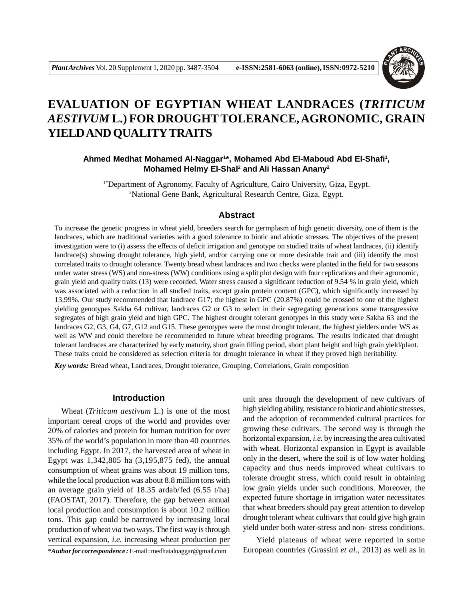

# **EVALUATION OF EGYPTIAN WHEAT LANDRACES (***TRITICUM AESTIVUM* **L.) FOR DROUGHTTOLERANCE, AGRONOMIC, GRAIN YIELD AND QUALITYTRAITS**

**Ahmed Medhat Mohamed Al-Naggar<sup>1</sup> \*, Mohamed Abd El-Maboud Abd El-Shafi<sup>1</sup> , Mohamed Helmy El-Shal<sup>2</sup> and Ali Hassan Anany<sup>2</sup>**

<sup>1\*</sup>Department of Agronomy, Faculty of Agriculture, Cairo University, Giza, Egypt. <sup>2</sup>National Gene Bank, Agricultural Research Centre, Giza. Egypt.

## **Abstract**

To increase the genetic progress in wheat yield, breeders search for germplasm of high genetic diversity, one of them is the landraces, which are traditional varieties with a good tolerance to biotic and abiotic stresses. The objectives of the present investigation were to (i) assess the effects of deficit irrigation and genotype on studied traits of wheat landraces, (ii) identify landrace(s) showing drought tolerance, high yield, and/or carrying one or more desirable trait and (iii) identify the most correlated traits to drought tolerance. Twenty bread wheat landraces and two checks were planted in the field for two seasons under water stress (WS) and non-stress (WW) conditions using a split plot design with four replications and their agronomic, grain yield and quality traits (13) were recorded. Water stress caused a significant reduction of 9.54 % in grain yield, which was associated with a reduction in all studied traits, except grain protein content (GPC), which significantly increased by 13.99%. Our study recommended that landrace G17; the highest in GPC (20.87%) could be crossed to one of the highest yielding genotypes Sakha 64 cultivar, landraces G2 or G3 to select in their segregating generations some transgressive segregates of high grain yield and high GPC. The highest drought tolerant genotypes in this study were Sakha 63 and the landraces G2, G3, G4, G7, G12 and G15. These genotypes were the most drought tolerant, the highest yielders under WS as well as WW and could therefore be recommended to future wheat breeding programs. The results indicated that drought tolerant landraces are characterized by early maturity, short grain filling period, short plant height and high grain yield/plant. These traits could be considered as selection criteria for drought tolerance in wheat if they proved high heritability.

*Key words:* Bread wheat, Landraces, Drought tolerance, Grouping, Correlations, Grain composition

#### **Introduction**

Wheat (*Triticum aestivum* L.) is one of the most important cereal crops of the world and provides over 20% of calories and protein for human nutrition for over 35% of the world's population in more than 40 countries including Egypt. In 2017, the harvested area of wheat in Egypt was 1,342,805 ha (3,195,875 fed), the annual consumption of wheat grains was about 19 million tons, while the local production was about 8.8 million tons with an average grain yield of 18.35 ardab/fed (6.55 t/ha) (FAOSTAT, 2017). Therefore, the gap between annual local production and consumption is about 10.2 million tons. This gap could be narrowed by increasing local production of wheat *via* two ways. The first way is through vertical expansion, *i.e.* increasing wheat production per

*\*Author for correspondence :* E-mail : medhatalnaggar@gmail.com

unit area through the development of new cultivars of high yielding ability, resistance to biotic and abiotic stresses, and the adoption of recommended cultural practices for growing these cultivars. The second way is through the horizontal expansion, *i.e.* by increasing the area cultivated with wheat. Horizontal expansion in Egypt is available only in the desert, where the soil is of low water holding capacity and thus needs improved wheat cultivars to tolerate drought stress, which could result in obtaining low grain yields under such conditions. Moreover, the expected future shortage in irrigation water necessitates that wheat breeders should pay great attention to develop drought tolerant wheat cultivars that could give high grain yield under both water-stress and non- stress conditions.

Yield plateaus of wheat were reported in some European countries (Grassini *et al.,* 2013) as well as in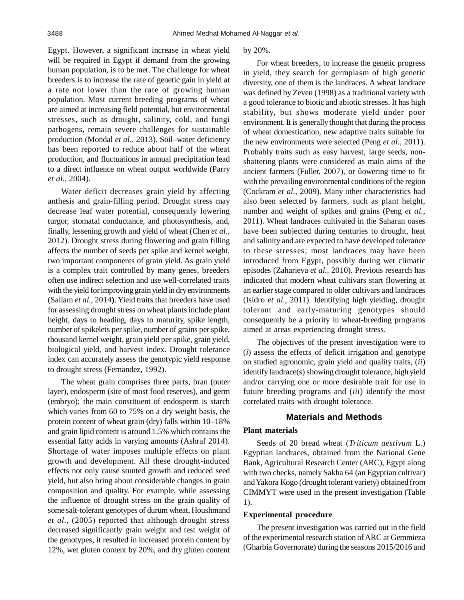Egypt. However, a significant increase in wheat yield will be required in Egypt if demand from the growing human population, is to be met. The challenge for wheat breeders is to increase the rate of genetic gain in yield at a rate not lower than the rate of growing human population. Most current breeding programs of wheat are aimed at increasing field potential, but environmental stresses, such as drought, salinity, cold, and fungi pathogens, remain severe challenges for sustainable production (Mondal *et al.,* 2013). Soil–water deficiency has been reported to reduce about half of the wheat production, and fluctuations in annual precipitation lead to a direct influence on wheat output worldwide (Parry *et al.,* 2004).

Water deficit decreases grain yield by affecting anthesis and grain-filling period. Drought stress may decrease leaf water potential, consequently lowering turgor, stomatal conductance, and photosynthesis, and, finally, lessening growth and yield of wheat (Chen *et al.*, 2012). Drought stress during flowering and grain filling affects the number of seeds per spike and kernel weight, two important components of grain yield. As grain yield is a complex trait controlled by many genes, breeders often use indirect selection and use well-correlated traits with the yield for improving grain yield in dry environments (Sallam *et al.,* 2014**)**. Yield traits that breeders have used for assessing drought stress on wheat plants include plant height, days to heading, days to maturity, spike length, number of spikelets per spike, number of grains per spike, thousand kernel weight, grain yield per spike, grain yield, biological yield, and harvest index. Drought tolerance index can accurately assess the genotypic yield response to drought stress (Fernandez, 1992).

The wheat grain comprises three parts, bran (outer layer), endosperm (site of most food reserves), and germ (embryo); the main constituent of endosperm is starch which varies from 60 to 75% on a dry weight basis, the protein content of wheat grain (dry) falls within 10–18% and grain lipid content is around 1.5% which contains the essential fatty acids in varying amounts (Ashraf 2014). Shortage of water imposes multiple effects on plant growth and development. All these drought-induced effects not only cause stunted growth and reduced seed yield, but also bring about considerable changes in grain composition and quality. For example, while assessing the influence of drought stress on the grain quality of some salt-tolerant genotypes of durum wheat, Houshmand *et al.,* (2005) reported that although drought stress decreased significantly grain weight and test weight of the genotypes, it resulted in increased protein content by 12%, wet gluten content by 20%, and dry gluten content

#### by 20%.

For wheat breeders, to increase the genetic progress in yield, they search for germplasm of high genetic diversity, one of them is the landraces. A wheat landrace was defined by Zeven (1998) as a traditional variety with a good tolerance to biotic and abiotic stresses. It has high stability, but shows moderate yield under poor environment. It is generally thought that during the process of wheat domestication, new adaptive traits suitable for the new environments were selected (Peng *et al.,* 2011). Probably traits such as easy harvest, large seeds, nonshattering plants were considered as main aims of the ancient farmers (Fuller, 2007), or ûowering time to fit with the prevailing environmental conditions of the region (Cockram *et al.,* 2009). Many other characteristics had also been selected by farmers, such as plant height, number and weight of spikes and grains (Peng *et al.,* 2011). Wheat landraces cultivated in the Saharan oases have been subjected during centuries to drought, heat and salinity and are expected to have developed tolerance to these stresses; most landraces may have been introduced from Egypt, possibly during wet climatic episodes (Zaharieva *et al.,* 2010). Previous research has indicated that modern wheat cultivars start flowering at an earlier stage compared to older cultivars and landraces (Isidro *et al.,* 2011). Identifying high yielding, drought tolerant and early-maturing genotypes should consequently be a priority in wheat-breeding programs aimed at areas experiencing drought stress.

The objectives of the present investigation were to (*i*) assess the effects of deficit irrigation and genotype on studied agronomic, grain yield and quality traits, (*ii*) identify landrace(s) showing drought tolerance, high yield and/or carrying one or more desirable trait for use in future breeding programs and (*iii*) identify the most correlated traits with drought tolerance.

## **Materials and Methods**

## **Plant materials**

Seeds of 20 bread wheat (*Triticum aestivum* L.) Egyptian landraces, obtained from the National Gene Bank, Agricultural Research Center (ARC), Egypt along with two checks, namely Sakha 64 (an Egyptian cultivar) and Yakora Kogo (drought tolerant variety) obtained from CIMMYT were used in the present investigation (Table 1).

#### **Experimental procedure**

The present investigation was carried out in the field of the experimental research station of ARC at Gemmieza (Gharbia Governorate) during the seasons 2015/2016 and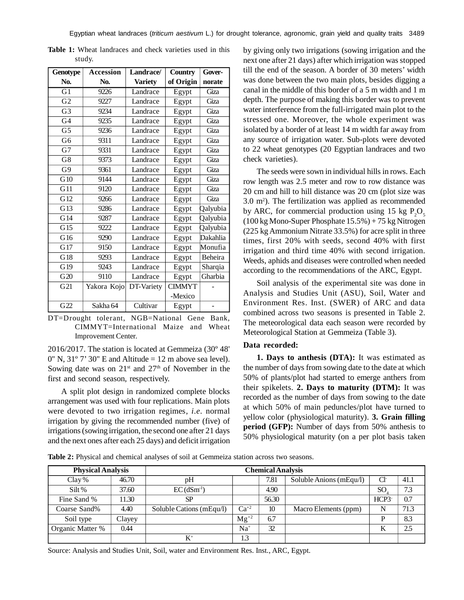| <b>Genotype</b> | <b>Accession</b> | Landrace/      | Country       | Gover-   |
|-----------------|------------------|----------------|---------------|----------|
| No.             | No.              | <b>Variety</b> | of Origin     | norate   |
| $\overline{G1}$ | 9226             | Landrace       | Egypt         | Giza     |
| $\overline{G2}$ | 9227             | Landrace       | Egypt         | Giza     |
| G <sub>3</sub>  | 9234             | Landrace       | Egypt         | Giza     |
| G4              | 9235             | Landrace       | Egypt         | Giza     |
| G <sub>5</sub>  | 9236             | Landrace       | Egypt         | Giza     |
| G6              | 9311             | Landrace       | Egypt         | Giza     |
| G7              | 9331             | Landrace       | Egypt         | Giza     |
| G8              | 9373             | Landrace       | Egypt         | Giza     |
| G <sub>9</sub>  | 9361             | Landrace       | Egypt         | Giza     |
| G10             | 9144             | Landrace       | Egypt         | Giza     |
| G11             | 9120             | Landrace       | Egypt         | Giza     |
| G12             | 9266             | Landrace       | Egypt         | Giza     |
| G13             | 9286             | Landrace       | Egypt         | Qalyubia |
| G14             | 9287             | Landrace       | Egypt         | Qalyubia |
| G15             | 9222             | Landrace       | Egypt         | Qalyubia |
| G16             | 9290             | Landrace       | Egypt         | Dakahlia |
| G17             | 9150             | Landrace       | Egypt         | Monufia  |
| G18             | 9293             | Landrace       | Egypt         | Beheira  |
| G19             | 9243             | Landrace       | Egypt         | Sharqia  |
| G20             | 9110             | Landrace       | Egypt         | Gharbia  |
| G21             | Yakora Kojo      | DT-Variety     | <b>CIMMYT</b> |          |
|                 |                  |                | -Mexico       |          |
| G <sub>22</sub> | Sakha 64         | Cultivar       | Egypt         |          |

**Table 1:** Wheat landraces and check varieties used in this study.

DT=Drought tolerant, NGB=National Gene Bank, CIMMYT=International Maize and Wheat Improvement Center.

2016/2017. The station is located at Gemmeiza (30º 48'  $0''$  N,  $31°7'$  30" E and Altitude = 12 m above sea level). Sowing date was on  $21^{st}$  and  $27^{th}$  of November in the first and second season, respectively.

A split plot design in randomized complete blocks arrangement was used with four replications. Main plots were devoted to two irrigation regimes, *i.e.* normal irrigation by giving the recommended number (five) of irrigations (sowing irrigation, the second one after 21 days and the next ones after each 25 days) and deficit irrigation by giving only two irrigations (sowing irrigation and the next one after 21 days) after which irrigation was stopped till the end of the season. A border of 30 meters' width was done between the two main plots, besides digging a canal in the middle of this border of a 5 m width and 1 m depth. The purpose of making this border was to prevent water interference from the full-irrigated main plot to the stressed one. Moreover, the whole experiment was isolated by a border of at least 14 m width far away from any source of irrigation water. Sub-plots were devoted to 22 wheat genotypes (20 Egyptian landraces and two check varieties).

The seeds were sown in individual hills in rows. Each row length was 2.5 meter and row to row distance was 20 cm and hill to hill distance was 20 cm (plot size was 3.0 m<sup>2</sup> ). The fertilization was applied as recommended by ARC, for commercial production using 15 kg  $P_2O_5$ (100 kg Mono-Super Phosphate 15.5%) + 75 kg Nitrogen (225 kg Ammonium Nitrate 33.5%) for acre split in three times, first 20% with seeds, second 40% with first irrigation and third time 40% with second irrigation. Weeds, aphids and diseases were controlled when needed according to the recommendations of the ARC, Egypt.

Soil analysis of the experimental site was done in Analysis and Studies Unit (ASU), Soil, Water and Environment Res. Inst. (SWER) of ARC and data combined across two seasons is presented in Table 2. The meteorological data each season were recorded by Meteorological Station at Gemmeiza (Table 3).

#### **Data recorded:**

**1. Days to anthesis (DTA):** It was estimated as the number of days from sowing date to the date at which 50% of plants/plot had started to emerge anthers from their spikelets. **2. Days to maturity (DTM):** It was recorded as the number of days from sowing to the date at which 50% of main peduncles/plot have turned to yellow color (physiological maturity). **3. Grain filling period (GFP):** Number of days from 50% anthesis to 50% physiological maturity (on a per plot basis taken

**Table 2:** Physical and chemical analyses of soil at Gemmeiza station across two seasons.

| <b>Physical Analysis</b> |        | <b>Chemical Analysis</b> |           |       |                         |               |      |  |  |
|--------------------------|--------|--------------------------|-----------|-------|-------------------------|---------------|------|--|--|
| Clay %                   | 46.70  | pH                       |           | 7.81  | Soluble Anions (mEqu/l) | Cl            | 41.1 |  |  |
| Silt %                   | 37.60  | EC(dSm <sup>1</sup> )    |           | 4.90  |                         | <sub>SO</sub> | 7.3  |  |  |
| Fine Sand %              | 11.30  | <b>SP</b>                |           | 56.30 |                         | HCP3          | 0.7  |  |  |
| Coarse Sand%             | 4.40   | Soluble Cations (mEqu/l) | $Ca^{+2}$ | 10    | Macro Elements (ppm)    | N             | 71.3 |  |  |
| Soil type                | Clayey |                          | $Mg^{+2}$ | 6.7   |                         |               | 8.3  |  |  |
| Organic Matter %         | 0.44   |                          | $Na+$     | 32    |                         | K             | 2.5  |  |  |
|                          |        | $K^+$                    | 1.3       |       |                         |               |      |  |  |

Source: Analysis and Studies Unit, Soil, water and Environment Res. Inst., ARC, Egypt.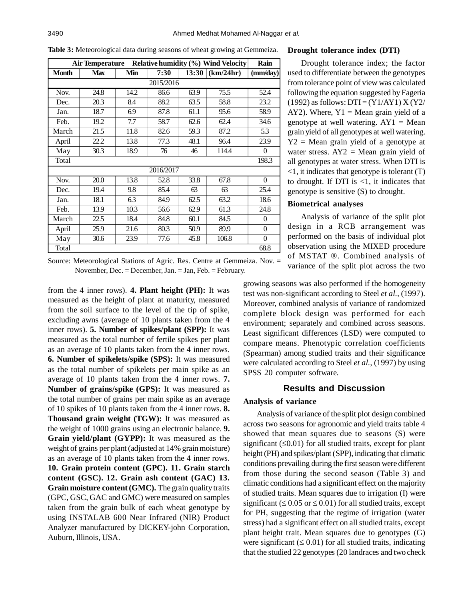|       | Air Temperature |      |           |       | <b>Relative humidity (%) Wind Velocity</b> | Rain           |
|-------|-----------------|------|-----------|-------|--------------------------------------------|----------------|
| Month | <b>Max</b>      | Min  | 7:30      | 13:30 | (km/24hr)                                  | (mm/dav)       |
|       |                 |      | 2015/2016 |       |                                            |                |
| Nov.  | 24.8            | 14.2 | 86.6      | 63.9  | 75.5                                       | 52.4           |
| Dec.  | 20.3            | 8.4  | 88.2      | 63.5  | 58.8                                       | 23.2           |
| Jan.  | 18.7            | 6.9  | 87.8      | 61.1  | 95.6                                       | 58.9           |
| Feb.  | 19.2            | 7.7  | 58.7      | 62.6  | 62.4                                       | 34.6           |
| March | 21.5            | 11.8 | 82.6      | 59.3  | 87.2                                       | 5.3            |
| April | 22.2            | 13.8 | 77.3      | 48.1  | 96.4                                       | 23.9           |
| May   | 30.3            | 18.9 | 76        | 46    | 114.4                                      | $\theta$       |
| Total |                 |      |           |       |                                            | 198.3          |
|       |                 |      | 2016/2017 |       |                                            |                |
| Nov.  | 20.0            | 13.8 | 52.8      | 33.8  | 67.8                                       | $\theta$       |
| Dec.  | 19.4            | 9.8  | 85.4      | 63    | 63                                         | 25.4           |
| Jan.  | 18.1            | 6.3  | 84.9      | 62.5  | 63.2                                       | 18.6           |
| Feb.  | 13.9            | 10.3 | 56.6      | 62.9  | 61.3                                       | 24.8           |
| March | 22.5            | 18.4 | 84.8      | 60.1  | 84.5                                       | $\overline{0}$ |
| April | 25.9            | 21.6 | 80.3      | 50.9  | 89.9                                       | $\overline{0}$ |
| May   | 30.6            | 23.9 | 77.6      | 45.8  | 106.8                                      | $\theta$       |
| Total |                 |      |           |       |                                            | 68.8           |

**Table 3:** Meteorological data during seasons of wheat growing at Gemmeiza.

Source: Meteorological Stations of Agric. Res. Centre at Gemmeiza. Nov. = November, Dec. = December, Jan. = Jan, Feb. = February.

from the 4 inner rows). **4. Plant height (PH):** It was measured as the height of plant at maturity, measured from the soil surface to the level of the tip of spike, excluding awns (average of 10 plants taken from the 4 inner rows). **5. Number of spikes/plant (SPP):** It was measured as the total number of fertile spikes per plant as an average of 10 plants taken from the 4 inner rows. **6. Number of spikelets/spike (SPS):** It was measured as the total number of spikelets per main spike as an average of 10 plants taken from the 4 inner rows. **7. Number of grains/spike (GPS):** It was measured as the total number of grains per main spike as an average of 10 spikes of 10 plants taken from the 4 inner rows. **8. Thousand grain weight (TGW):** It was measured as the weight of 1000 grains using an electronic balance. **9. Grain yield/plant (GYPP):** It was measured as the weight of grains per plant (adjusted at 14% grain moisture) as an average of 10 plants taken from the 4 inner rows. **10. Grain protein content (GPC). 11. Grain starch content (GSC). 12. Grain ash content (GAC) 13. Grain moisture content (GMC).** The grain quality traits (GPC, GSC, GAC and GMC) were measured on samples taken from the grain bulk of each wheat genotype by using INSTALAB 600 Near Infrared (NIR) Product Analyzer manufactured by DICKEY-john Corporation, Auburn, Illinois, USA.

#### **Drought tolerance index (DTI)**

Drought tolerance index; the factor used to differentiate between the genotypes from tolerance point of view was calculated following the equation suggested by Fageria  $(1992)$  as follows: DTI =  $(Y1/AY1)$  X  $(Y2/$ AY2). Where,  $Y1 = \text{Mean grain yield of a}$ genotype at well watering.  $AY1 = Mean$ grain yield of all genotypes at well watering.  $Y2$  = Mean grain yield of a genotype at water stress.  $AY2 = Mean$  grain yield of all genotypes at water stress. When DTI is <1, it indicates that genotype is tolerant (T) to drought. If DTI is  $\leq 1$ , it indicates that genotype is sensitive (S) to drought.

# **Biometrical analyses**

Analysis of variance of the split plot design in a RCB arrangement was performed on the basis of individual plot observation using the MIXED procedure of MSTAT ®. Combined analysis of variance of the split plot across the two

growing seasons was also performed if the homogeneity test was non-significant according to Steel *et al.,* (1997). Moreover, combined analysis of variance of randomized complete block design was performed for each environment; separately and combined across seasons. Least significant differences (LSD) were computed to compare means. Phenotypic correlation coefficients (Spearman) among studied traits and their significance were calculated according to Steel *et al.,* (1997) by using SPSS 20 computer software.

## **Results and Discussion**

#### **Analysis of variance**

Analysis of variance of the split plot design combined across two seasons for agronomic and yield traits table 4 showed that mean squares due to seasons (S) were significant  $(\leq 0.01)$  for all studied traits, except for plant height (PH) and spikes/plant (SPP), indicating that climatic conditions prevailing during the first season were different from those during the second season (Table 3) and climatic conditions had a significant effect on the majority of studied traits. Mean squares due to irrigation (I) were significant ( $\leq 0.05$  or  $\leq 0.01$ ) for all studied traits, except for PH, suggesting that the regime of irrigation (water stress) had a significant effect on all studied traits, except plant height trait. Mean squares due to genotypes (G) were significant  $(\leq 0.01)$  for all studied traits, indicating that the studied 22 genotypes (20 landraces and two check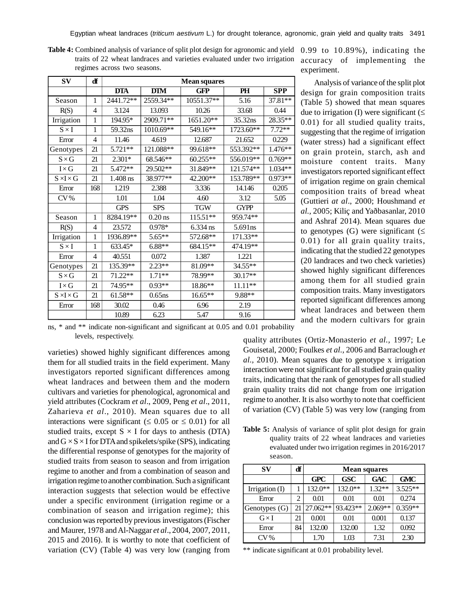|                             |  |  | <b>Table 4:</b> Combined analysis of variance of split plot design for agronomic and yield |  |  |
|-----------------------------|--|--|--------------------------------------------------------------------------------------------|--|--|
|                             |  |  | traits of 22 wheat landraces and varieties evaluated under two irrigation                  |  |  |
| regimes across two seasons. |  |  |                                                                                            |  |  |

| $S_{\bf V}$           | ď            |            |            | <b>Mean squares</b> |             |            |
|-----------------------|--------------|------------|------------|---------------------|-------------|------------|
|                       |              | <b>DTA</b> | <b>DTM</b> | <b>GFP</b>          | PH          | <b>SPP</b> |
| Season                | 1            | 2441.72**  | 2559.34**  | 10551.37**          | 5.16        | 37.81**    |
| R(S)                  | 4            | 3.124      | 13.093     | 10.26               | 33.68       | 0.44       |
| Irrigation            | $\mathbf{1}$ | 194.95*    | 2909.71**  | $1651.20**$         | 35.32ns     | $28.35**$  |
| $S \times I$          | 1            | 59.32ns    | 1010.69**  | 549.16**            | 1723.60**   | $7.72**$   |
| Error                 | 4            | 11.46      | 4.619      | 12.687              | 21.652      | 0.229      |
| Genotypes             | 21           | 5.721**    | 121.088**  | 99.618**            | 553.392**   | $1.476**$  |
| $S \times G$          | 21           | $2.301*$   | 68.546**   | $60.255**$          | 556.019**   | $0.769**$  |
| $I \times G$          | 21           | 5.472**    | 29.502**   | 31.849**            | 121.574**   | $1.034**$  |
| $S \times I \times G$ | 21           | $1.408$ ns | 38.977**   | 42.200**            | 153.789**   | $0.973**$  |
| Error                 | 168          | 1.219      | 2.388      | 3.336               | 14.146      | 0.205      |
| CV%                   |              | 1.01       | 1.04       | 4.60                | 3.12        | 5.05       |
|                       |              | <b>GPS</b> | <b>SPS</b> | <b>TGW</b>          | <b>GYPP</b> |            |
| Season                | $\mathbf{1}$ | 8284.19**  | $0.20$ ns  | 115.51**            | 959.74**    |            |
| R(S)                  | 4            | 23.572     | 0.978*     | 6.334 ns            | 5.691ns     |            |
| Irrigation            | $\mathbf{1}$ | 1936.89**  | 5.65**     | 572.68**            | 171.33**    |            |
| $S \times I$          | 1            | 633.45*    | $6.88**$   | 684.15**            | 474.19**    |            |
| Error                 | 4            | 40.551     | 0.072      | 1.387               | 1.221       |            |
| Genotypes             | 21           | 135.39**   | $2.23**$   | $81.09**$           | 34.55**     |            |
| $S \times G$          | 21           | 71.22**    | 1.71**     | 78.99**             | 30.17**     |            |
| $I \times G$          | 21           | 74.95**    | $0.93**$   | 18.86**             | $11.11**$   |            |
| $S \times I \times G$ | 21           | $61.58**$  | $0.65$ ns  | 16.65**             | 9.88**      |            |
| Error                 | 168          | 30.02      | 0.46       | 6.96                | 2.19        |            |
|                       |              | 10.89      | 6.23       | 5.47                | 9.16        |            |

0.99 to 10.89%), indicating the <sup>n</sup> accuracy of implementing the experiment.

Analysis of variance of the split plot design for grain composition traits (Table 5) showed that mean squares due to irrigation (I) were significant  $(\leq)$ 0.01) for all studied quality traits, suggesting that the regime of irrigation (water stress) had a significant effect on grain protein, starch, ash and moisture content traits. Many investigators reported significant effect of irrigation regime on grain chemical composition traits of bread wheat (Guttieri *at al*., 2000; Houshmand *et al.,* 2005; Kiliç and Yaðbasanlar, 2010 and Ashraf 2014). Mean squares due to genotypes (G) were significant  $(\leq$ 0.01) for all grain quality traits, indicating that the studied 22 genotypes (20 landraces and two check varieties) showed highly significant differences among them for all studied grain composition traits. Many investigators reported significant differences among wheat landraces and between them and the modern cultivars for grain

ns, \* and \*\* indicate non-significant and significant at 0.05 and 0.01 probability levels, respectively.

varieties) showed highly significant differences among them for all studied traits in the field experiment. Many investigators reported significant differences among wheat landraces and between them and the modern cultivars and varieties for phenological, agronomical and yield attributes (Cockram *et al*., 2009, Peng *et al*., 2011, Zaharieva *et al*., 2010). Mean squares due to all interactions were significant ( $\leq 0.05$  or  $\leq 0.01$ ) for all studied traits, except  $S \times I$  for days to anthesis (DTA) and  $G \times S \times I$  for DTA and spikelets/spike (SPS), indicating the differential response of genotypes for the majority of studied traits from season to season and from irrigation regime to another and from a combination of season and irrigation regime to another combination. Such a significant interaction suggests that selection would be effective under a specific environment (irrigation regime or a combination of season and irrigation regime); this conclusion was reported by previous investigators (Fischer and Maurer, 1978 and Al-Naggar *et al*., 2004, 2007, 2011, 2015 and 2016). It is worthy to note that coefficient of variation (CV) (Table 4) was very low (ranging from quality attributes (Ortiz-Monasterio *et al.,* 1997; Le Gouisetal, 2000; Foulkes *et al.,* 2006 and Barraclough *et al.,* 2010). Mean squares due to genotype x irrigation interaction were not significant for all studied grain quality traits, indicating that the rank of genotypes for all studied grain quality traits did not change from one irrigation regime to another. It is also worthy to note that coefficient of variation (CV) (Table 5) was very low (ranging from

**Table 5:** Analysis of variance of split plot design for grain quality traits of 22 wheat landraces and varieties evaluated under two irrigation regimes in 2016/2017 season.

| SV             | df | <b>Mean squares</b> |            |            |            |  |  |
|----------------|----|---------------------|------------|------------|------------|--|--|
|                |    | <b>GPC</b>          | <b>GSC</b> | <b>GAC</b> | <b>GMC</b> |  |  |
| Irrigation (I) |    | 132.0**             | $132.0**$  | $1.32**$   | $3.525**$  |  |  |
| Error          | 2  | 0.01                | 0.01       | 0.01       | 0.274      |  |  |
| Genotypes (G)  | 21 | $ 27.062** $        | 93.423**   | $2.069**$  | $0.359**$  |  |  |
| $G\times I$    | 21 | 0.001               | 0.01       | 0.001      | 0.137      |  |  |
| Error          | 84 | 132.00              | 132.00     | 1.32       | 0.092      |  |  |
| $CV\%$         |    | 1.70                | 1.03       | 7.31       | 2.30       |  |  |

\*\* indicate significant at 0.01 probability level.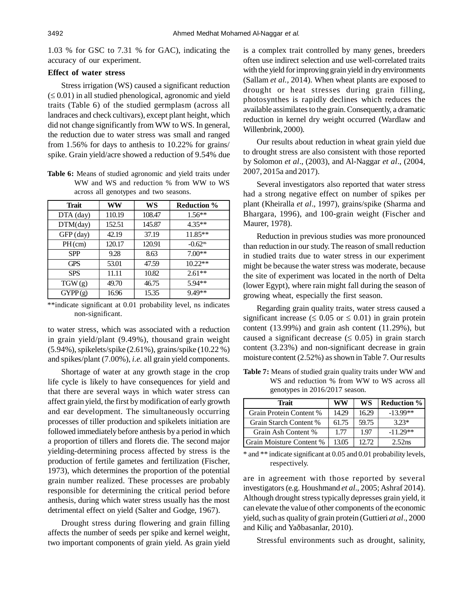1.03 % for GSC to 7.31 % for GAC), indicating the accuracy of our experiment.

## **Effect of water stress**

Stress irrigation (WS) caused a significant reduction  $(\leq 0.01)$  in all studied phenological, agronomic and yield traits (Table 6) of the studied germplasm (across all landraces and check cultivars), except plant height, which did not change significantly from WW to WS. In general, the reduction due to water stress was small and ranged from 1.56% for days to anthesis to 10.22% for grains/ spike. Grain yield/acre showed a reduction of 9.54% due

**Table 6:** Means of studied agronomic and yield traits under WW and WS and reduction % from WW to WS across all genotypes and two seasons.

| <b>Trait</b> | WW     | WS     | <b>Reduction</b> %    |
|--------------|--------|--------|-----------------------|
| DTA (day)    | 110.19 | 108.47 | $1.56**$              |
| DTM/day)     | 152.51 | 145.87 | $4.35**$              |
| GFP (day)    | 42.19  | 37.19  | $11.85**$             |
| $PH$ (cm)    | 120.17 | 120.91 | $-0.62$ <sup>ns</sup> |
| <b>SPP</b>   | 9.28   | 8.63   | $7.00**$              |
| <b>GPS</b>   | 53.01  | 47.59  | $10.22**$             |
| <b>SPS</b>   | 11.11  | 10.82  | $2.61**$              |
| TGW(g)       | 49.70  | 46.75  | 5.94**                |
| GYPP(g)      | 16.96  | 15.35  | $9.49**$              |

\*\*indicate significant at 0.01 probability level, ns indicates non-significant.

to water stress, which was associated with a reduction in grain yield/plant (9.49%), thousand grain weight (5.94%), spikelets/spike (2.61%), grains/spike (10.22 %) and spikes/plant (7.00%), *i.e.* all grain yield components.

Shortage of water at any growth stage in the crop life cycle is likely to have consequences for yield and that there are several ways in which water stress can affect grain yield, the first by modification of early growth and ear development. The simultaneously occurring processes of tiller production and spikelets initiation are followed immediately before anthesis by a period in which a proportion of tillers and florets die. The second major yielding-determining process affected by stress is the production of fertile gametes and fertilization (Fischer, 1973), which determines the proportion of the potential grain number realized. These processes are probably responsible for determining the critical period before anthesis, during which water stress usually has the most detrimental effect on yield (Salter and Godge, 1967).

Drought stress during flowering and grain filling affects the number of seeds per spike and kernel weight, two important components of grain yield. As grain yield is a complex trait controlled by many genes, breeders often use indirect selection and use well-correlated traits with the yield for improving grain yield in dry environments (Sallam *et al.,* 2014). When wheat plants are exposed to drought or heat stresses during grain filling, photosynthes is rapidly declines which reduces the available assimilates to the grain. Consequently, a dramatic reduction in kernel dry weight occurred (Wardlaw and Willenbrink, 2000).

Our results about reduction in wheat grain yield due to drought stress are also consistent with those reported by Solomon *et al*., (2003), and Al-Naggar *et al*., (2004, 2007, 2015a and 2017).

Several investigators also reported that water stress had a strong negative effect on number of spikes per plant (Kheiralla *et al*., 1997), grains/spike (Sharma and Bhargara, 1996), and 100-grain weight (Fischer and Maurer, 1978).

Reduction in previous studies was more pronounced than reduction in our study. The reason of small reduction in studied traits due to water stress in our experiment might be because the water stress was moderate, because the site of experiment was located in the north of Delta (lower Egypt), where rain might fall during the season of growing wheat, especially the first season.

Regarding grain quality traits, water stress caused a significant increase ( $\leq 0.05$  or  $\leq 0.01$ ) in grain protein content (13.99%) and grain ash content (11.29%), but caused a significant decrease ( $\leq 0.05$ ) in grain starch content (3.23%) and non-significant decrease in grain moisture content (2.52%) as shown in Table 7. Our results

**Table 7:** Means of studied grain quality traits under WW and WS and reduction % from WW to WS across all genotypes in 2016/2017 season.

| Trait                    | WW    | WS    | <b>Reduction</b> % |
|--------------------------|-------|-------|--------------------|
| Grain Protein Content %  | 14.29 | 16.29 | $-13.99**$         |
| Grain Starch Content %   | 61.75 | 59.75 | $323*$             |
| Grain Ash Content %      | 1.77  | 1.97  | $-11.29**$         |
| Grain Moisture Content % | 13 05 |       | 2.52ns             |

\* and \*\* indicate significant at 0.05 and 0.01 probability levels, respectively.

are in agreement with those reported by several investigators (e.g. Houshmand *et al.,* 2005; Ashraf 2014). Although drought stress typically depresses grain yield, it can elevate the value of other components of the economic yield, such as quality of grain protein (Guttieri *at al*., 2000 and Kiliç and Yaðbasanlar, 2010).

Stressful environments such as drought, salinity,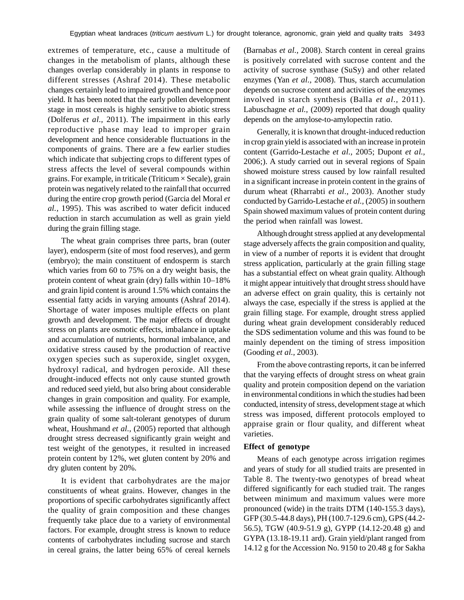extremes of temperature, etc., cause a multitude of changes in the metabolism of plants, although these changes overlap considerably in plants in response to different stresses (Ashraf 2014). These metabolic changes certainly lead to impaired growth and hence poor yield. It has been noted that the early pollen development stage in most cereals is highly sensitive to abiotic stress (Dolferus *et al.,* 2011). The impairment in this early reproductive phase may lead to improper grain development and hence considerable fluctuations in the components of grains. There are a few earlier studies which indicate that subjecting crops to different types of stress affects the level of several compounds within grains. For example, in triticale (Triticum × Secale), grain protein was negatively related to the rainfall that occurred during the entire crop growth period (Garcia del Moral *et al.,* 1995). This was ascribed to water deficit induced reduction in starch accumulation as well as grain yield during the grain filling stage.

The wheat grain comprises three parts, bran (outer layer), endosperm (site of most food reserves), and germ (embryo); the main constituent of endosperm is starch which varies from 60 to 75% on a dry weight basis, the protein content of wheat grain (dry) falls within 10–18% and grain lipid content is around 1.5% which contains the essential fatty acids in varying amounts (Ashraf 2014). Shortage of water imposes multiple effects on plant growth and development. The major effects of drought stress on plants are osmotic effects, imbalance in uptake and accumulation of nutrients, hormonal imbalance, and oxidative stress caused by the production of reactive oxygen species such as superoxide, singlet oxygen, hydroxyl radical, and hydrogen peroxide. All these drought-induced effects not only cause stunted growth and reduced seed yield, but also bring about considerable changes in grain composition and quality. For example, while assessing the influence of drought stress on the grain quality of some salt-tolerant genotypes of durum wheat, Houshmand *et al.,* (2005) reported that although drought stress decreased significantly grain weight and test weight of the genotypes, it resulted in increased protein content by 12%, wet gluten content by 20% and dry gluten content by 20%.

It is evident that carbohydrates are the major constituents of wheat grains. However, changes in the proportions of specific carbohydrates significantly affect the quality of grain composition and these changes frequently take place due to a variety of environmental factors. For example, drought stress is known to reduce contents of carbohydrates including sucrose and starch in cereal grains, the latter being 65% of cereal kernels (Barnabas *et al.,* 2008). Starch content in cereal grains is positively correlated with sucrose content and the activity of sucrose synthase (SuSy) and other related enzymes (Yan *et al.,* 2008). Thus, starch accumulation depends on sucrose content and activities of the enzymes involved in starch synthesis (Balla *et al.,* 2011). Labuschagne *et al.*, (2009) reported that dough quality depends on the amylose-to-amylopectin ratio.

Generally, it is known that drought-induced reduction in crop grain yield is associated with an increase in protein content (Garrido-Lestache *et al.,* 2005; Dupont *et al.,* 2006;). A study carried out in several regions of Spain showed moisture stress caused by low rainfall resulted in a significant increase in protein content in the grains of durum wheat (Rharrabti *et al.,* 2003). Another study conducted by Garrido-Lestache *et al.,* (2005) in southern Spain showed maximum values of protein content during the period when rainfall was lowest.

Although drought stress applied at any developmental stage adversely affects the grain composition and quality, in view of a number of reports it is evident that drought stress application, particularly at the grain filling stage has a substantial effect on wheat grain quality. Although it might appear intuitively that drought stress should have an adverse effect on grain quality, this is certainly not always the case, especially if the stress is applied at the grain filling stage. For example, drought stress applied during wheat grain development considerably reduced the SDS sedimentation volume and this was found to be mainly dependent on the timing of stress imposition (Gooding *et al.,* 2003).

From the above contrasting reports, it can be inferred that the varying effects of drought stress on wheat grain quality and protein composition depend on the variation in environmental conditions in which the studies had been conducted, intensity of stress, development stage at which stress was imposed, different protocols employed to appraise grain or flour quality, and different wheat varieties.

#### **Effect of genotype**

Means of each genotype across irrigation regimes and years of study for all studied traits are presented in Table 8. The twenty-two genotypes of bread wheat differed significantly for each studied trait. The ranges between minimum and maximum values were more pronounced (wide) in the traits DTM (140-155.3 days), GFP (30.5-44.8 days), PH (100.7-129.6 cm), GPS (44.2- 56.5), TGW (40.9-51.9 g), GYPP (14.12-20.48 g) and GYPA (13.18-19.11 ard). Grain yield/plant ranged from 14.12 g for the Accession No. 9150 to 20.48 g for Sakha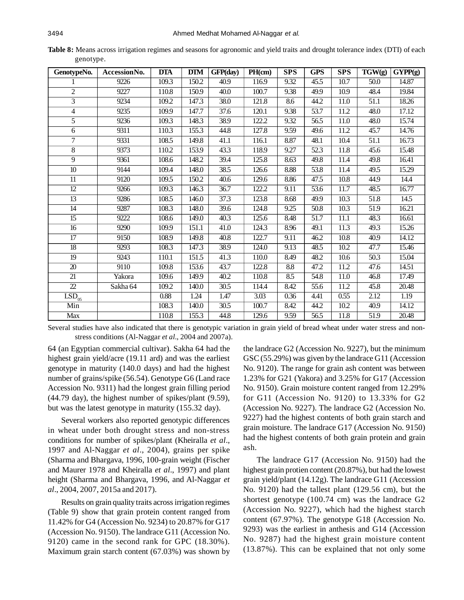| Table 8: Means across irrigation regimes and seasons for agronomic and yield traits and drought tolerance index (DTI) of each |  |  |  |  |
|-------------------------------------------------------------------------------------------------------------------------------|--|--|--|--|
| genotype.                                                                                                                     |  |  |  |  |

| GenotypeNo.                                     | AccessionNo. | <b>DTA</b> | <b>DTM</b> | GFP(day)          | PH(cm) | <b>SPS</b> | <b>GPS</b>        | <b>SPS</b>        | TGW(g)            | GYPP(g)            |
|-------------------------------------------------|--------------|------------|------------|-------------------|--------|------------|-------------------|-------------------|-------------------|--------------------|
|                                                 | 9226         | 109.3      | 150.2      | 40.9              | 116.9  | 9.32       | 45.5              | 10.7              | 50.0              | 14.87              |
| $\overline{c}$                                  | 9227         | 110.8      | 150.9      | 40.0              | 100.7  | 9.38       | 49.9              | 10.9              | 48.4              | 19.84              |
| $\overline{3}$                                  | 9234         | 109.2      | 147.3      | 38.0              | 121.8  | 8.6        | 44.2              | 11.0              | 51.1              | 18.26              |
| 4                                               | 9235         | 109.9      | 147.7      | 37.6              | 120.1  | 9.38       | 53.7              | 11.2              | 48.0              | 17.12              |
| $\overline{5}$                                  | 9236         | 109.3      | 148.3      | 38.9              | 122.2  | 9.32       | 56.5              | 11.0              | 48.0              | 15.74              |
| 6                                               | 9311         | 110.3      | 155.3      | 44.8              | 127.8  | 9.59       | 49.6              | 11.2              | 45.7              | 14.76              |
| $\tau$                                          | 9331         | 108.5      | 149.8      | 41.1              | 116.1  | 8.87       | 48.1              | 10.4              | 51.1              | 16.73              |
| $\overline{8}$                                  | 9373         | 110.2      | 153.9      | 43.3              | 118.9  | 9.27       | $\overline{52.3}$ | 11.8              | 45.6              | 15.48              |
| 9                                               | 9361         | 108.6      | 148.2      | 39.4              | 125.8  | 8.63       | 49.8              | 11.4              | 49.8              | 16.41              |
| $\overline{10}$                                 | 9144         | 109.4      | 148.0      | 38.5              | 126.6  | 8.88       | 53.8              | 11.4              | 49.5              | 15.29              |
| 11                                              | 9120         | 109.5      | 150.2      | 40.6              | 129.6  | 8.86       | 47.5              | 10.8              | 44.9              | 14.4               |
| $\overline{12}$                                 | 9266         | 109.3      | 146.3      | 36.7              | 122.2  | 9.11       | 53.6              | 11.7              | 48.5              | 16.77              |
| $\overline{13}$                                 | 9286         | 108.5      | 146.0      | 37.3              | 123.8  | 8.68       | 49.9              | 10.3              | 51.8              | 14.5               |
| $\overline{14}$                                 | 9287         | 108.3      | 148.0      | 39.6              | 124.8  | 9.25       | 50.8              | $\overline{10.3}$ | $\overline{51.9}$ | 16.21              |
| $\overline{15}$                                 | 9222         | 108.6      | 149.0      | 40.3              | 125.6  | 8.48       | 51.7              | 11.1              | 48.3              | 16.61              |
| 16                                              | 9290         | 109.9      | 151.1      | 41.0              | 124.3  | 8.96       | 49.1              | 11.3              | 49.3              | 15.26              |
| $\overline{17}$                                 | 9150         | 108.9      | 149.8      | $\overline{40.8}$ | 122.7  | 9.11       | 46.2              | $\overline{10.8}$ | 40.9              | 14.12              |
| $\overline{18}$                                 | 9293         | 108.3      | 147.3      | $\overline{38.9}$ | 124.0  | 9.13       | 48.5              | 10.2              | 47.7              | 15.46              |
| $\overline{19}$                                 | 9243         | 110.1      | 151.5      | 41.3              | 110.0  | 8.49       | 48.2              | 10.6              | 50.3              | 15.04              |
| $\overline{20}$                                 | 9110         | 109.8      | 153.6      | 43.7              | 122.8  | 8.8        | 47.2              | 11.2              | 47.6              | 14.51              |
| $\overline{21}$                                 | Yakora       | 109.6      | 149.9      | $\overline{40.2}$ | 110.8  | 8.5        | 54.8              | $\overline{11.0}$ | 46.8              | 17.49              |
| $\overline{22}$                                 | Sakha 64     | 109.2      | 140.0      | 30.5              | 114.4  | 8.42       | 55.6              | 11.2              | 45.8              | 20.48              |
| $\overline{\text{LSD}}_{\underline{\text{05}}}$ |              | 0.88       | 1.24       | 1.47              | 3.03   | 0.36       | 4.41              | 0.55              | 2.12              | 1.19               |
| Min                                             |              | 108.3      | 140.0      | $\overline{30.5}$ | 100.7  | 8.42       | 44.2              | $\overline{10.2}$ | 40.9              | 14.12              |
| <b>Max</b>                                      |              | 110.8      | 155.3      | 44.8              | 129.6  | 9.59       | 56.5              | 11.8              | 51.9              | $\overline{20.48}$ |

Several studies have also indicated that there is genotypic variation in grain yield of bread wheat under water stress and nonstress conditions (Al-Naggar *et al*., 2004 and 2007a).

64 (an Egyptian commercial cultivar). Sakha 64 had the highest grain yield/acre (19.11 ard) and was the earliest genotype in maturity (140.0 days) and had the highest number of grains/spike (56.54). Genotype G6 (Land race Accession No. 9311) had the longest grain filling period (44.79 day), the highest number of spikes/plant (9.59), but was the latest genotype in maturity (155.32 day).

Several workers also reported genotypic differences in wheat under both drought stress and non-stress conditions for number of spikes/plant (Kheiralla *et al*., 1997 and Al-Naggar *et al*., 2004), grains per spike (Sharma and Bhargava, 1996, 100-grain weight (Fischer and Maurer 1978 and Kheiralla *et al*., 1997) and plant height (Sharma and Bhargava, 1996, and Al-Naggar *et al*., 2004, 2007, 2015a and 2017).

Results on grain quality traits across irrigation regimes (Table 9) show that grain protein content ranged from 11.42% for G4 (Accession No. 9234) to 20.87% for G17 (Accession No. 9150). The landrace G11 (Accession No. 9120) came in the second rank for GPC (18.30%). Maximum grain starch content (67.03%) was shown by the landrace G2 (Accession No. 9227), but the minimum GSC (55.29%) was given by the landrace G11 (Accession No. 9120). The range for grain ash content was between 1.23% for G21 (Yakora) and 3.25% for G17 (Accession No. 9150). Grain moisture content ranged from 12.29% for G11 (Accession No. 9120) to 13.33% for G2 (Accession No. 9227). The landrace G2 (Accession No. 9227) had the highest contents of both grain starch and grain moisture. The landrace G17 (Accession No. 9150) had the highest contents of both grain protein and grain ash.

The landrace G17 (Accession No. 9150) had the highest grain protien content (20.87%), but had the lowest grain yield/plant (14.12g). The landrace G11 (Accession No. 9120) had the tallest plant (129.56 cm), but the shortest genotype (100.74 cm) was the landrace G2 (Accession No. 9227), which had the highest starch content (67.97%). The genotype G18 (Accession No. 9293) was the earliest in anthesis and G14 (Accession No. 9287) had the highest grain moisture content (13.87%). This can be explained that not only some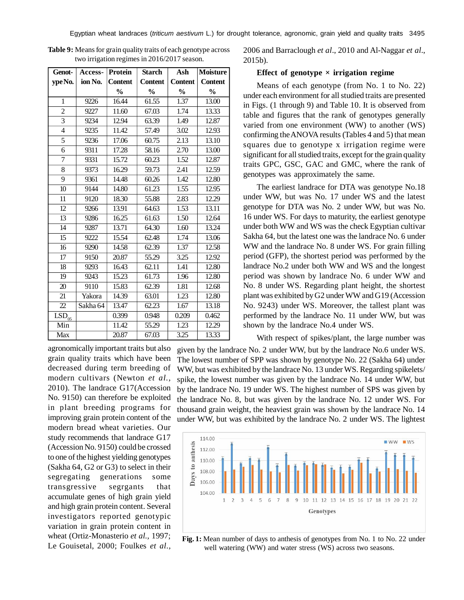| Genot-                                   | Access-  | Protein        | <b>Starch</b>  | Ash            | <b>Moisture</b> |
|------------------------------------------|----------|----------------|----------------|----------------|-----------------|
| ype No.                                  | ion No.  | <b>Content</b> | <b>Content</b> | <b>Content</b> | <b>Content</b>  |
|                                          |          | $\frac{6}{9}$  | $\frac{0}{0}$  | $\frac{0}{0}$  | $\frac{0}{0}$   |
| $\mathbf{1}$                             | 9226     | 16.44          | 61.55          | 1.37           | 13.00           |
| 2                                        | 9227     | 11.60          | 67.03          | 1.74           | 13.33           |
| $\overline{\mathbf{3}}$                  | 9234     | 12.94          | 63.39          | 1.49           | 12.87           |
| $\overline{4}$                           | 9235     | 11.42          | 57.49          | 3.02           | 12.93           |
| 5                                        | 9236     | 17.06          | 60.75          | 2.13           | 13.10           |
| 6                                        | 9311     | 17.28          | 58.16          | 2.70           | 13.00           |
| $\overline{7}$                           | 9331     | 15.72          | 60.23          | 1.52           | 12.87           |
| 8                                        | 9373     | 16.29          | 59.73          | 2.41           | 12.59           |
| 9                                        | 9361     | 14.48          | 60.26          | 1.42           | 12.80           |
| 10                                       | 9144     | 14.80          | 61.23          | 1.55           | 12.95           |
| 11                                       | 9120     | 18.30          | 55.88          | 2.83           | 12.29           |
| 12                                       | 9266     | 13.91          | 64.63          | 1.53           | 13.11           |
| 13                                       | 9286     | 16.25          | 61.63          | 1.50           | 12.64           |
| 14                                       | 9287     | 13.71          | 64.30          | 1.60           | 13.24           |
| $\overline{15}$                          | 9222     | 15.54          | 62.48          | 1.74           | 13.06           |
| 16                                       | 9290     | 14.58          | 62.39          | 1.37           | 12.58           |
| 17                                       | 9150     | 20.87          | 55.29          | 3.25           | 12.92           |
| 18                                       | 9293     | 16.43          | 62.11          | 1.41           | 12.80           |
| $\overline{19}$                          | 9243     | 15.23          | 61.73          | 1.96           | 12.80           |
| 20                                       | 9110     | 15.83          | 62.39          | 1.81           | 12.68           |
| $\overline{21}$                          | Yakora   | 14.39          | 63.01          | 1.23           | 12.80           |
| 22                                       | Sakha 64 | 13.47          | 62.23          | 1.67           | 13.18           |
| $\overline{\text{LSD}}_{\underline{05}}$ |          | 0.399          | 0.948          | 0.209          | 0.462           |
| Min                                      |          | 11.42          | 55.29          | 1.23           | 12.29           |
| Max                                      |          | 20.87          | 67.03          | 3.25           | 13.33           |

**Table 9:** Means for grain quality traits of each genotype across two irrigation regimes in 2016/2017 season.

agronomically important traits but also grain quality traits which have been decreased during term breeding of modern cultivars (Newton *et al.,* 2010). The landrace G17(Accession No. 9150) can therefore be exploited in plant breeding programs for improving grain protein content of the modern bread wheat varieties. Our study recommends that landrace G17 (Accession No. 9150) could be crossed to one of the highest yielding genotypes (Sakha 64, G2 or G3) to select in their segregating generations some transgressive segrgants that accumulate genes of high grain yield and high grain protein content. Several investigators reported genotypic variation in grain protein content in wheat (Ortiz-Monasterio *et al.,* 1997; Le Gouisetal, 2000; Foulkes *et al.,*

2006 and Barraclough *et al*., 2010 and Al-Naggar *et al*., 2015b).

#### **Effect of genotype**  $\times$  **irrigation regime**

Means of each genotype (from No. 1 to No. 22) under each environment for all studied traits are presented in Figs. (1 through 9) and Table 10. It is observed from table and figures that the rank of genotypes generally varied from one environment (WW) to another (WS) confirming the ANOVA results (Tables 4 and 5) that mean squares due to genotype x irrigation regime were significant for all studied traits, except for the grain quality traits GPC, GSC, GAC and GMC, where the rank of genotypes was approximately the same.

The earliest landrace for DTA was genotype No.18 under WW, but was No. 17 under WS and the latest genotype for DTA was No. 2 under WW, but was No. 16 under WS. For days to maturity, the earliest genotype under both WW and WS was the check Egyptian cultivar Sakha 64, but the latest one was the landrace No. 6 under WW and the landrace No. 8 under WS. For grain filling period (GFP), the shortest period was performed by the landrace No.2 under both WW and WS and the longest period was shown by landrace No. 6 under WW and No. 8 under WS. Regarding plant height, the shortest plant was exhibited by G2 under WW and G19 (Accession No. 9243) under WS. Moreover, the tallest plant was performed by the landrace No. 11 under WW, but was shown by the landrace No.4 under WS.

With respect of spikes/plant, the large number was

given by the landrace No. 2 under WW, but by the landrace No.6 under WS. The lowest number of SPP was shown by genotype No. 22 (Sakha 64) under WW, but was exhibited by the landrace No. 13 under WS. Regarding spikelets/ spike, the lowest number was given by the landrace No. 14 under WW, but by the landrace No. 19 under WS. The highest number of SPS was given by the landrace No. 8, but was given by the landrace No. 12 under WS. For thousand grain weight, the heaviest grain was shown by the landrace No. 14 under WW, but was exhibited by the landrace No. 2 under WS. The lightest



**Fig. 1:** Mean number of days to anthesis of genotypes from No. 1 to No. 22 under well watering (WW) and water stress (WS) across two seasons.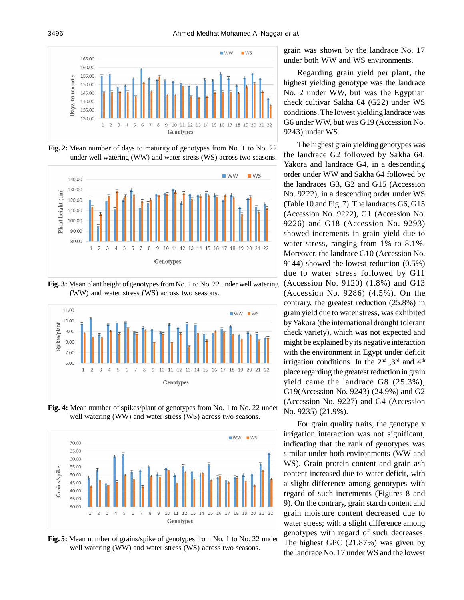

**Fig. 2:** Mean number of days to maturity of genotypes from No. 1 to No. 22 under well watering (WW) and water stress (WS) across two seasons.







**Fig. 4:** Mean number of spikes/plant of genotypes from No. 1 to No. 22 under well watering (WW) and water stress (WS) across two seasons.



**Fig. 5:** Mean number of grains/spike of genotypes from No. 1 to No. 22 under well watering (WW) and water stress (WS) across two seasons.

grain was shown by the landrace No. 17 under both WW and WS environments.

Regarding grain yield per plant, the highest yielding genotype was the landrace No. 2 under WW, but was the Egyptian check cultivar Sakha 64 (G22) under WS conditions. The lowest yielding landrace was G6 under WW, but was G19 (Accession No. 9243) under WS.

The highest grain yielding genotypes was the landrace G2 followed by Sakha 64, Yakora and landrace G4, in a descending order under WW and Sakha 64 followed by the landraces G3, G2 and G15 (Accession No. 9222), in a descending order under WS (Table 10 and Fig. 7). The landraces G6, G15 (Accession No. 9222), G1 (Accession No. 9226) and G18 (Accession No. 9293) showed increments in grain yield due to water stress, ranging from 1% to 8.1%. Moreover, the landrace G10 (Accession No. 9144) showed the lowest reduction (0.5%) due to water stress followed by G11 (Accession No. 9120) (1.8%) and G13 (Accession No. 9286) (4.5%). On the contrary, the greatest reduction (25.8%) in grain yield due to water stress, was exhibited by Yakora (the international drought tolerant check variety), which was not expected and might be explained by its negative interaction with the environment in Egypt under deficit irrigation conditions. In the  $2<sup>nd</sup>$ ,  $3<sup>rd</sup>$  and  $4<sup>th</sup>$ place regarding the greatest reduction in grain yield came the landrace G8 (25.3%), G19(Accession No. 9243) (24.9%) and G2 (Accession No. 9227) and G4 (Accession No. 9235) (21.9%).

For grain quality traits, the genotype x irrigation interaction was not significant, indicating that the rank of genotypes was similar under both environments (WW and WS). Grain protein content and grain ash content increased due to water deficit, with a slight difference among genotypes with regard of such increments (Figures 8 and 9). On the contrary, grain starch content and grain moisture content decreased due to water stress; with a slight difference among genotypes with regard of such decreases. The highest GPC (21.87%) was given by the landrace No. 17 under WS and the lowest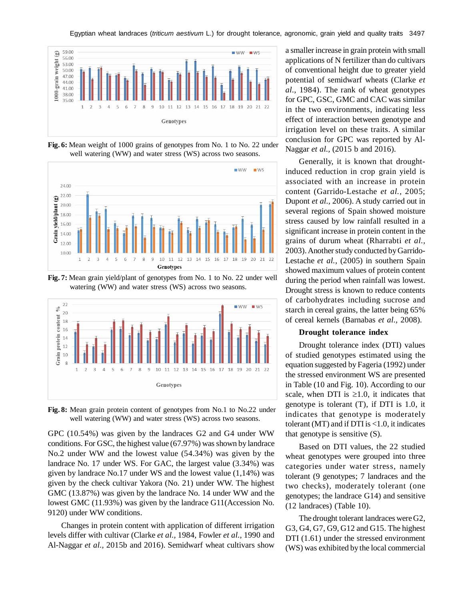

**Fig. 6:** Mean weight of 1000 grains of genotypes from No. 1 to No. 22 under well watering (WW) and water stress (WS) across two seasons.



**Fig. 7:** Mean grain yield/plant of genotypes from No. 1 to No. 22 under well watering (WW) and water stress (WS) across two seasons.



**Fig. 8:** Mean grain protein content of genotypes from No.1 to No.22 under well watering (WW) and water stress (WS) across two seasons.

GPC (10.54%) was given by the landraces G2 and G4 under WW conditions. For GSC, the highest value (67.97%) was shown by landrace No.2 under WW and the lowest value (54.34%) was given by the landrace No. 17 under WS. For GAC, the largest value (3.34%) was given by landrace No.17 under WS and the lowest value (1,14%) was given by the check cultivar Yakora (No. 21) under WW. The highest GMC (13.87%) was given by the landrace No. 14 under WW and the lowest GMC (11.93%) was given by the landrace G11(Accession No. 9120) under WW conditions.

Changes in protein content with application of different irrigation levels differ with cultivar (Clarke *et al.,* 1984, Fowler *et al.,* 1990 and Al-Naggar *et al.,* 2015b and 2016). Semidwarf wheat cultivars show a smaller increase in grain protein with small applications of N fertilizer than do cultivars of conventional height due to greater yield potential of semidwarf wheats (Clarke *et al.,* 1984). The rank of wheat genotypes for GPC, GSC, GMC and CAC was similar in the two environments, indicating less effect of interaction between genotype and irrigation level on these traits. A similar conclusion for GPC was reported by Al-Naggar *et al.,* (2015 b and 2016).

Generally, it is known that droughtinduced reduction in crop grain yield is associated with an increase in protein content (Garrido-Lestache *et al.,* 2005; Dupont *et al.,* 2006). A study carried out in several regions of Spain showed moisture stress caused by low rainfall resulted in a significant increase in protein content in the grains of durum wheat (Rharrabti *et al.,* 2003). Another study conducted by Garrido-Lestache *et al.,* (2005) in southern Spain showed maximum values of protein content during the period when rainfall was lowest. Drought stress is known to reduce contents of carbohydrates including sucrose and starch in cereal grains, the latter being 65% of cereal kernels (Barnabas *et al.,* 2008).

#### **Drought tolerance index**

Drought tolerance index (DTI) values of studied genotypes estimated using the equation suggested by Fageria (1992) under the stressed environment WS are presented in Table (10 and Fig. 10). According to our scale, when DTI is  $\geq 1.0$ , it indicates that genotype is tolerant (T), if DTI is 1.0, it indicates that genotype is moderately tolerant (MT) and if DTI is <1.0, it indicates that genotype is sensitive (S).

Based on DTI values, the 22 studied wheat genotypes were grouped into three categories under water stress, namely tolerant (9 genotypes; 7 landraces and the two checks), moderately tolerant (one genotypes; the landrace G14) and sensitive (12 landraces) (Table 10).

The drought tolerant landraces were G2, G3, G4, G7, G9, G12 and G15. The highest DTI (1.61) under the stressed environment (WS) was exhibited by the local commercial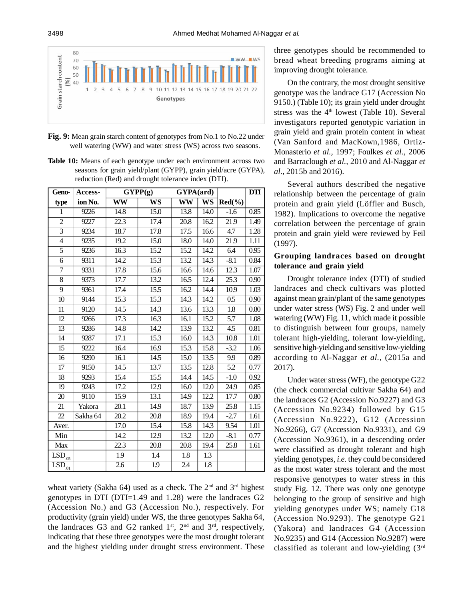

**Fig. 9:** Mean grain starch content of genotypes from No.1 to No.22 under well watering (WW) and water stress (WS) across two seasons.

**Table 10:** Means of each genotype under each environment across two seasons for grain yield/plant (GYPP), grain yield/acre (GYPA), reduction (Red) and drought tolerance index (DTI).

| Geno-                         | Access-  |                          | $\overline{GYPP}(g)$     | $\overline{G}YPA(ard)$ |                          |                  | <b>DTI</b> |
|-------------------------------|----------|--------------------------|--------------------------|------------------------|--------------------------|------------------|------------|
| type                          | ion No.  | $\overline{\textbf{WW}}$ | $\overline{\mathbf{WS}}$ | $\overline{\text{WW}}$ | $\overline{\mathbf{WS}}$ | $Red(\%)$        |            |
| $\mathbf{1}$                  | 9226     | 14.8                     | 15.0                     | 13.8                   | $\overline{14.0}$        | $-1.6$           | 0.85       |
| $\overline{2}$                | 9227     | $\overline{22.3}$        | 17.4                     | 20.8                   | 16.2                     | 21.9             | 1.49       |
| $\overline{3}$                | 9234     | 18.7                     | 17.8                     | 17.5                   | 16.6                     | 4.7              | 1.28       |
| $\overline{\mathbf{4}}$       | 9235     | 19.2                     | 15.0                     | 18.0                   | 14.0                     | 21.9             | 1.11       |
| $\overline{5}$                | 9236     | 16.3                     | 15.2                     | 15.2                   | 14.2                     | 6.4              | 0.95       |
| 6                             | 9311     | 14.2                     | 15.3                     | 13.2                   | 14.3                     | $-8.1$           | 0.84       |
| $\overline{7}$                | 9331     | 17.8                     | 15.6                     | 16.6                   | 14.6                     | 12.3             | 1.07       |
| 8                             | 9373     | 17.7                     | 13.2                     | 16.5                   | 12.4                     | 25.3             | 0.90       |
| $\overline{9}$                | 9361     | 17.4                     | 15.5                     | 16.2                   | 14.4                     | 10.9             | 1.03       |
| $\overline{10}$               | 9144     | 15.3                     | 15.3                     | 14.3                   | 14.2                     | $0.5\,$          | 0.90       |
| 11                            | 9120     | 14.5                     | 14.3                     | 13.6                   | 13.3                     | 1.8              | 0.80       |
| 12                            | 9266     | 17.3                     | 16.3                     | 16.1                   | 15.2                     | 5.7              | 1.08       |
| $\overline{13}$               | 9286     | 14.8                     | 14.2                     | 13.9                   | 13.2                     | $\overline{4.5}$ | 0.81       |
| 14                            | 9287     | 17.1                     | 15.3                     | 16.0                   | 14.3                     | 10.8             | 1.01       |
| 15                            | 9222     | 16.4                     | 16.9                     | 15.3                   | 15.8                     | $-3.2$           | 1.06       |
| 16                            | 9290     | 16.1                     | 14.5                     | 15.0                   | 13.5                     | 9.9              | 0.89       |
| 17                            | 9150     | 14.5                     | 13.7                     | 13.5                   | 12.8                     | 5.2              | 0.77       |
| 18                            | 9293     | 15.4                     | 15.5                     | 14.4                   | 14.5                     | $-1.0$           | 0.92       |
| 19                            | 9243     | 17.2                     | 12.9                     | 16.0                   | 12.0                     | 24.9             | 0.85       |
| 20                            | 9110     | 15.9                     | 13.1                     | 14.9                   | 12.2                     | 17.7             | 0.80       |
| 21                            | Yakora   | 20.1                     | 14.9                     | 18.7                   | 13.9                     | 25.8             | 1.15       |
| 22                            | Sakha 64 | 20.2                     | 20.8                     | 18.9                   | 19.4                     | $-2.7$           | 1.61       |
| Aver.                         |          | 17.0                     | 15.4                     | 15.8                   | 14.3                     | 9.54             | 1.01       |
| Min                           |          | 14.2                     | 12.9                     | 13.2                   | 12.0                     | $-8.1$           | 0.77       |
| Max                           |          | 22.3                     | 20.8                     | 20.8                   | 19.4                     | 25.8             | 1.61       |
| $LSD_{.05}$                   |          | 1.9                      | 1.4                      | 1.8                    | 1.3                      |                  |            |
| $\overline{\text{LSD}}_{.01}$ |          | $\overline{2.6}$         | $\overline{1.9}$         | $\overline{2.4}$       | $\overline{1.8}$         |                  |            |

wheat variety (Sakha 64) used as a check. The  $2<sup>nd</sup>$  and  $3<sup>rd</sup>$  highest genotypes in DTI (DTI=1.49 and 1.28) were the landraces G2 (Accession No.) and G3 (Accession No.), respectively. For productivity (grain yield) under WS, the three genotypes Sakha 64, the landraces G3 and G2 ranked  $1<sup>st</sup>$ ,  $2<sup>nd</sup>$  and  $3<sup>rd</sup>$ , respectively, indicating that these three genotypes were the most drought tolerant and the highest yielding under drought stress environment. These three genotypes should be recommended to bread wheat breeding programs aiming at improving drought tolerance.

On the contrary, the most drought sensitive genotype was the landrace G17 (Accession No 9150.) (Table 10); its grain yield under drought stress was the  $4<sup>th</sup>$  lowest (Table 10). Several investigators reported genotypic variation in grain yield and grain protein content in wheat (Van Sanford and MacKown,1986, Ortiz-Monasterio *et al.,* 1997; Foulkes *et al.,* 2006 and Barraclough *et al.,* 2010 and Al-Naggar *et al.,* 2015b and 2016).

Several authors described the negative relationship between the percentage of grain protein and grain yield (Löffler and Busch, 1982). Implications to overcome the negative correlation between the percentage of grain protein and grain yield were reviewed by Feil (1997).

# **Grouping landraces based on drought tolerance and grain yield**

Drought tolerance index (DTI) of studied landraces and check cultivars was plotted against mean grain/plant of the same genotypes under water stress (WS) Fig. 2 and under well watering (WW) Fig. 11, which made it possible to distinguish between four groups, namely tolerant high-yielding, tolerant low-yielding, sensitive high-yielding and sensitive low-yielding according to Al-Naggar *et al.,* (2015a and 2017).

Under water stress (WF), the genotype G22 (the check commercial cultivar Sakha 64) and the landraces G2 (Accession No.9227) and G3 (Accession No.9234) followed by G15 (Accession No.9222), G12 (Accession No.9266), G7 (Accession No.9331), and G9 (Accession No.9361), in a descending order were classified as drought tolerant and high yielding genotypes, *i.e.* they could be considered as the most water stress tolerant and the most responsive genotypes to water stress in this study Fig. 12. There was only one genotype belonging to the group of sensitive and high yielding genotypes under WS; namely G18 (Accession No.9293). The genotype G21 (Yakora) and landraces G4 (Accession No.9235) and G14 (Accession No.9287) were classified as tolerant and low-yielding (3rd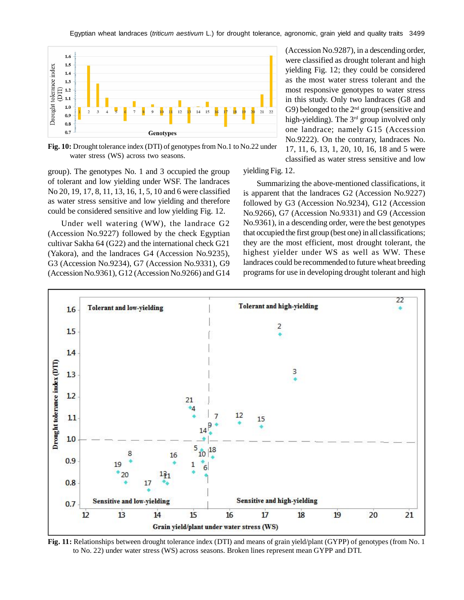Egyptian wheat landraces (*triticum aestivum* L.) for drought tolerance, agronomic, grain yield and quality traits 3499



**Fig. 10:** Drought tolerance index (DTI) of genotypes from No.1 to No.22 under water stress (WS) across two seasons.

group). The genotypes No. 1 and 3 occupied the group of tolerant and low yielding under WSF. The landraces No 20, 19, 17, 8, 11, 13, 16, 1, 5, 10 and 6 were classified as water stress sensitive and low yielding and therefore could be considered sensitive and low yielding Fig. 12.

Under well watering (WW), the landrace G2 (Accession No.9227) followed by the check Egyptian cultivar Sakha 64 (G22) and the international check G21 (Yakora), and the landraces G4 (Accession No.9235), G3 (Accession No.9234), G7 (Accession No.9331), G9 (Accession No.9361), G12 (Accession No.9266) and G14 (Accession No.9287), in a descending order, were classified as drought tolerant and high yielding Fig. 12; they could be considered as the most water stress tolerant and the most responsive genotypes to water stress in this study. Only two landraces (G8 and G9) belonged to the  $2<sup>nd</sup>$  group (sensitive and high-yielding). The 3<sup>rd</sup> group involved only one landrace; namely G15 (Accession No.9222). On the contrary, landraces No. 17, 11, 6, 13, 1, 20, 10, 16, 18 and 5 were classified as water stress sensitive and low

#### yielding Fig. 12.

Summarizing the above-mentioned classifications, it is apparent that the landraces G2 (Accession No.9227) followed by G3 (Accession No.9234), G12 (Accession No.9266), G7 (Accession No.9331) and G9 (Accession No.9361), in a descending order, were the best genotypes that occupied the first group (best one) in all classifications; they are the most efficient, most drought tolerant, the highest yielder under WS as well as WW. These landraces could be recommended to future wheat breeding programs for use in developing drought tolerant and high



**Fig. 11:** Relationships between drought tolerance index (DTI) and means of grain yield/plant (GYPP) of genotypes (from No. 1 to No. 22) under water stress (WS) across seasons. Broken lines represent mean GYPP and DTI.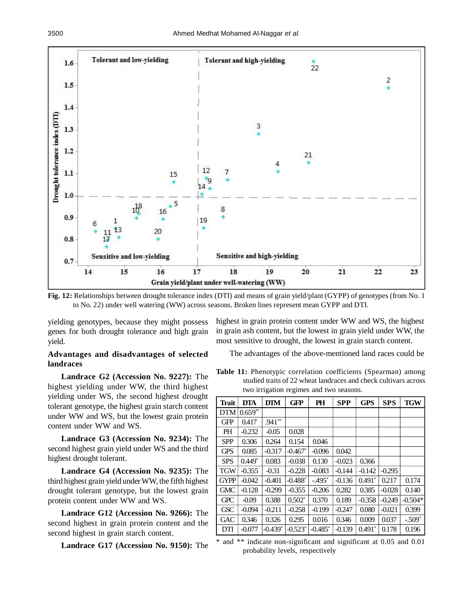



yielding genotypes, because they might possess genes for both drought tolerance and high grain yield.

## **Advantages and disadvantages of selected landraces**

**Landrace G2 (Accession No. 9227):** The highest yielding under WW, the third highest yielding under WS, the second highest drought tolerant genotype, the highest grain starch content under WW and WS, but the lowest grain protein content under WW and WS.

**Landrace G3 (Accession No. 9234):** The second highest grain yield under WS and the third highest drought tolerant.

**Landrace G4 (Accession No. 9235):** The third highest grain yield under WW, the fifth highest drought tolerant genotype, but the lowest grain protein content under WW and WS.

**Landrace G12 (Accession No. 9266):** The second highest in grain protein content and the second highest in grain starch content.

**Landrace G17 (Accession No. 9150):** The

highest in grain protein content under WW and WS, the highest in grain ash content, but the lowest in grain yield under WW, the most sensitive to drought, the lowest in grain starch content.

The advantages of the above-mentioned land races could be

**Table 11:** Phenotypic correlation coefficients (Spearman) among studied traits of 22 wheat landraces and check cultivars across two irrigation regimes and two seasons.

| <b>Trait</b> | <b>DTA</b> | <b>DTM</b> | <b>GFP</b> | PH        | <b>SPP</b> | <b>GPS</b> | <b>SPS</b> | <b>TGW</b> |
|--------------|------------|------------|------------|-----------|------------|------------|------------|------------|
| <b>DTM</b>   | $0.659**$  |            |            |           |            |            |            |            |
| <b>GFP</b>   | 0.417      | $.941**$   |            |           |            |            |            |            |
| <b>PH</b>    | $-0.232$   | $-0.05$    | 0.028      |           |            |            |            |            |
| <b>SPP</b>   | 0.306      | 0.264      | 0.154      | 0.046     |            |            |            |            |
| <b>GPS</b>   | 0.085      | $-0.317$   | $-0.467*$  | $-0.096$  | 0.042      |            |            |            |
| <b>SPS</b>   | $0.449*$   | 0.083      | $-0.038$   | 0.130     | $-0.023$   | 0.366      |            |            |
| <b>TGW</b>   | $-0.355$   | $-0.31$    | $-0.228$   | $-0.083$  | $-0.144$   | $-0.142$   | $-0.295$   |            |
| <b>GYPP</b>  | $-0.042$   | $-0.401$   | $-0.488*$  | $-495$ *  | $-0.136$   | $0.491*$   | 0.217      | 0.174      |
| GMC          | $-0.128$   | $-0.299$   | $-0.355$   | $-0.206$  | 0.282      | 0.385      | $-0.028$   | 0.140      |
| <b>GPC</b>   | $-0.09$    | 0.388      | $0.502*$   | 0.370     | 0.189      | $-0.358$   | $-0.249$   | $-0.504*$  |
| <b>GSC</b>   | $-0.094$   | $-0.211$   | $-0.258$   | $-0.199$  | $-0.247$   | 0.080      | $-0.021$   | 0.399      |
| <b>GAC</b>   | 0.346      | 0.326      | 0.295      | 0.016     | 0.346      | 0.009      | 0.037      | $-.509*$   |
| DTI          | $-0.077$   | $-0.439*$  | $-0.523*$  | $-0.485*$ | $-0.139$   | $0.491*$   | 0.178      | 0.196      |

\* and \*\* indicate non-significant and significant at 0.05 and 0.01 probability levels, respectively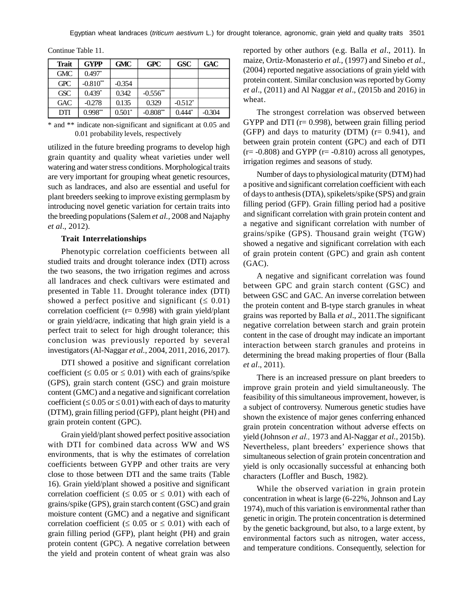| <b>Trait</b> | <b>GYPP</b> | <b>GMC</b> | <b>GPC</b> | <b>GSC</b> | <b>GAC</b> |
|--------------|-------------|------------|------------|------------|------------|
| <b>GMC</b>   | $0.497*$    |            |            |            |            |
| <b>GPC</b>   | $-0.810**$  | $-0.354$   |            |            |            |
| <b>GSC</b>   | $0.439*$    | 0.342      | $-0.556**$ |            |            |
| GAC          | $-0.278$    | 0.135      | 0.329      | $-0.512*$  |            |
| DTI          | $0.998**$   | $0.501*$   | $-0.808**$ | $0.444*$   | $-0.304$   |

Continue Table 11.

\* and \*\* indicate non-significant and significant at 0.05 and 0.01 probability levels, respectively

utilized in the future breeding programs to develop high grain quantity and quality wheat varieties under well watering and water stress conditions. Morphological traits are very important for grouping wheat genetic resources, such as landraces, and also are essential and useful for plant breeders seeking to improve existing germplasm by introducing novel genetic variation for certain traits into the breeding populations (Salem *et al.,* 2008 and Najaphy *et al*., 2012).

#### **Trait Interrelationships**

Phenotypic correlation coefficients between all studied traits and drought tolerance index (DTI) across the two seasons, the two irrigation regimes and across all landraces and check cultivars were estimated and presented in Table 11. Drought tolerance index (DTI) showed a perfect positive and significant  $( \leq 0.01)$ correlation coefficient ( $r = 0.998$ ) with grain yield/plant or grain yield/acre, indicating that high grain yield is a perfect trait to select for high drought tolerance; this conclusion was previously reported by several investigators (Al-Naggar *et al.,* 2004, 2011, 2016, 2017).

DTI showed a positive and significant correlation coefficient ( $\leq 0.05$  or  $\leq 0.01$ ) with each of grains/spike (GPS), grain starch content (GSC) and grain moisture content (GMC) and a negative and significant correlation coefficient ( $\leq 0.05$  or  $\leq 0.01$ ) with each of days to maturity (DTM), grain filling period (GFP), plant height (PH) and grain protein content (GPC).

Grain yield/plant showed perfect positive association with DTI for combined data across WW and WS environments, that is why the estimates of correlation coefficients between GYPP and other traits are very close to those between DTI and the same traits (Table 16). Grain yield/plant showed a positive and significant correlation coefficient ( $\leq 0.05$  or  $\leq 0.01$ ) with each of grains/spike (GPS), grain starch content (GSC) and grain moisture content (GMC) and a negative and significant correlation coefficient ( $\leq 0.05$  or  $\leq 0.01$ ) with each of grain filling period (GFP), plant height (PH) and grain protein content (GPC). A negative correlation between the yield and protein content of wheat grain was also

reported by other authors (e.g. Balla *et al*., 2011). In maize, Ortiz-Monasterio *et al.,* (1997) and Sinebo *et al.,* (2004) reported negative associations of grain yield with protein content. Similar conclusion was reported by Gorny *et al*., (2011) and Al Naggar *et al*., (2015b and 2016) in wheat.

The strongest correlation was observed between GYPP and DTI ( $r = 0.998$ ), between grain filling period (GFP) and days to maturity (DTM)  $(r= 0.941)$ , and between grain protein content (GPC) and each of DTI  $(r=-0.808)$  and GYPP  $(r=-0.810)$  across all genotypes, irrigation regimes and seasons of study.

Number of days to physiological maturity (DTM) had a positive and significant correlation coefficient with each of days to anthesis (DTA), spikelets/spike (SPS) and grain filling period (GFP). Grain filling period had a positive and significant correlation with grain protein content and a negative and significant correlation with number of grains/spike (GPS). Thousand grain weight (TGW) showed a negative and significant correlation with each of grain protein content (GPC) and grain ash content (GAC).

A negative and significant correlation was found between GPC and grain starch content (GSC) and between GSC and GAC. An inverse correlation between the protein content and B-type starch granules in wheat grains was reported by Balla *et al*., 2011.The significant negative correlation between starch and grain protein content in the case of drought may indicate an important interaction between starch granules and proteins in determining the bread making properties of flour (Balla *et al*., 2011).

There is an increased pressure on plant breeders to improve grain protein and yield simultaneously. The feasibility of this simultaneous improvement, however, is a subject of controversy. Numerous genetic studies have shown the existence of major genes conferring enhanced grain protein concentration without adverse effects on yield (Johnson *et al.,* 1973 and Al-Naggar *et al.,* 2015b). Nevertheless, plant breeders' experience shows that simultaneous selection of grain protein concentration and yield is only occasionally successful at enhancing both characters (Loffler and Busch, 1982).

While the observed variation in grain protein concentration in wheat is large (6-22%, Johnson and Lay 1974), much of this variation is environmental rather than genetic in origin. The protein concentration is determined by the genetic background, but also, to a large extent, by environmental factors such as nitrogen, water access, and temperature conditions. Consequently, selection for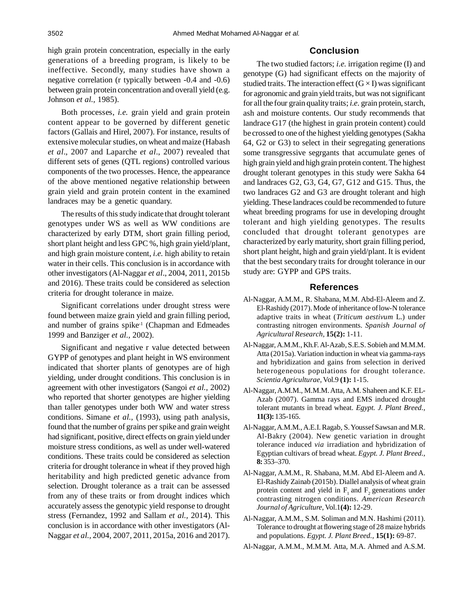high grain protein concentration, especially in the early generations of a breeding program, is likely to be ineffective. Secondly, many studies have shown a negative correlation (r typically between -0.4 and -0.6) between grain protein concentration and overall yield (e.g. Johnson *et al.,* 1985).

Both processes, *i.e.* grain yield and grain protein content appear to be governed by different genetic factors (Gallais and Hirel, 2007). For instance, results of extensive molecular studies, on wheat and maize (Habash *et al*., 2007 and Laparche *et al*., 2007) revealed that different sets of genes (QTL regions) controlled various components of the two processes. Hence, the appearance of the above mentioned negative relationship between grain yield and grain protein content in the examined landraces may be a genetic quandary.

The results of this study indicate that drought tolerant genotypes under WS as well as WW conditions are characterized by early DTM, short grain filling period, short plant height and less GPC %, high grain yield/plant, and high grain moisture content, *i.e.* high ability to retain water in their cells. This conclusion is in accordance with other investigators (Al-Naggar *et al*., 2004, 2011, 2015b and 2016). These traits could be considered as selection criteria for drought tolerance in maize.

Significant correlations under drought stress were found between maize grain yield and grain filling period, and number of grains spike-1 (Chapman and Edmeades 1999 and Banziger *et al.,* 2002).

Significant and negative r value detected between GYPP of genotypes and plant height in WS environment indicated that shorter plants of genotypes are of high yielding, under drought conditions. This conclusion is in agreement with other investigators (Sangoi *et al.,* 2002) who reported that shorter genotypes are higher yielding than taller genotypes under both WW and water stress conditions. Simane *et al.,* (1993), using path analysis, found that the number of grains per spike and grain weight had significant, positive, direct effects on grain yield under moisture stress conditions, as well as under well-watered conditions. These traits could be considered as selection criteria for drought tolerance in wheat if they proved high heritability and high predicted genetic advance from selection. Drought tolerance as a trait can be assessed from any of these traits or from drought indices which accurately assess the genotypic yield response to drought stress (Fernandez, 1992 and Sallam *et al.,* 2014). This conclusion is in accordance with other investigators (Al-Naggar *et al.,* 2004, 2007, 2011, 2015a, 2016 and 2017).

## **Conclusion**

The two studied factors; *i.e.* irrigation regime (I) and genotype (G) had significant effects on the majority of studied traits. The interaction effect  $(G \times I)$  was significant for agronomic and grain yield traits, but was not significant for all the four grain quality traits; *i.e.* grain protein, starch, ash and moisture contents. Our study recommends that landrace G17 (the highest in grain protein content) could be crossed to one of the highest yielding genotypes (Sakha 64, G2 or G3) to select in their segregating generations some transgressive segrgants that accumulate genes of high grain yield and high grain protein content. The highest drought tolerant genotypes in this study were Sakha 64 and landraces G2, G3, G4, G7, G12 and G15. Thus, the two landraces G2 and G3 are drought tolerant and high yielding. These landraces could be recommended to future wheat breeding programs for use in developing drought tolerant and high yielding genotypes. The results concluded that drought tolerant genotypes are characterized by early maturity, short grain filling period, short plant height, high and grain yield/plant. It is evident that the best secondary traits for drought tolerance in our study are: GYPP and GPS traits.

## **References**

- Al-Naggar, A.M.M., R. Shabana, M.M. Abd-El-Aleem and Z. El-Rashidy (2017). Mode of inheritance of low-N tolerance adaptive traits in wheat (*Triticum aestivum* L.) under contrasting nitrogen environments. *Spanish Journal of Agricultural Research,* **15(2):** 1-11.
- Al-Naggar, A.M.M., Kh.F. Al-Azab, S.E.S. Sobieh and M.M.M. Atta (2015a). Variation induction in wheat via gamma-rays and hybridization and gains from selection in derived heterogeneous populations for drought tolerance. *Scientia Agriculturae,* Vol.9 **(1):** 1-15.
- Al-Naggar, A.M.M., M.M.M. Atta, A.M. Shaheen and K.F. EL-Azab (2007). Gamma rays and EMS induced drought tolerant mutants in bread wheat. *Egypt. J. Plant Breed.,* **11(3):** 135-165.
- Al-Naggar, A.M.M., A.E.I. Ragab, S. Youssef Sawsan and M.R. Al-Bakry (2004). New genetic variation in drought tolerance induced *via* irradiation and hybridization of Egyptian cultivars of bread wheat. *Egypt. J. Plant Breed.,* **8:** 353–370.
- Al-Naggar, A.M.M., R. Shabana, M.M. Abd El-Aleem and A. El-Rashidy Zainab (2015b). Diallel analysis of wheat grain protein content and yield in  $F_1$  and  $F_2$  generations under contrasting nitrogen conditions. *American Research Journal of Agriculture,* Vol.1**(4):** 12-29.
- Al-Naggar, A.M.M., S.M. Soliman and M.N. Hashimi (2011). Tolerance to drought at flowering stage of 28 maize hybrids and populations. *Egypt. J. Plant Breed.,* **15(1):** 69-87.
- Al-Naggar, A.M.M., M.M.M. Atta, M.A. Ahmed and A.S.M.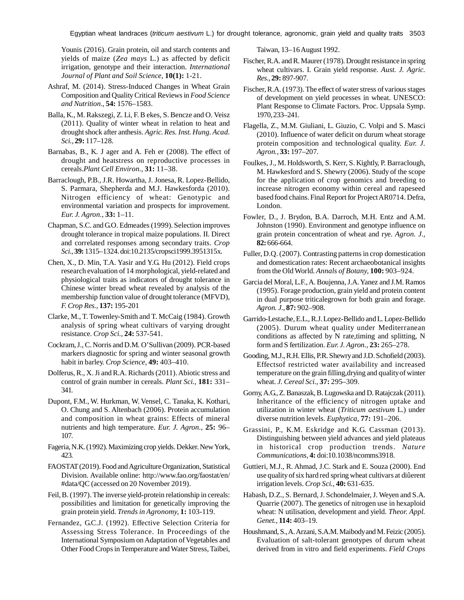Egyptian wheat landraces (*triticum aestivum* L.) for drought tolerance, agronomic, grain yield and quality traits 3503

Younis (2016). Grain protein, oil and starch contents and yields of maize (*Zea mays* L.) as affected by deficit irrigation, genotype and their interaction. *International Journal of Plant and Soil Science,* **10(1):** 1-21.

- Ashraf, M. (2014). Stress-Induced Changes in Wheat Grain Composition and Quality Critical Reviews in *Food Science and Nutrition.,* **54:** 1576–1583.
- Balla, K., M. Rakszegi, Z. Li, F. B ekes, S. Bencze and O. Veisz (2011). Quality of winter wheat in relation to heat and drought shock after anthesis. *Agric. Res. Inst. Hung. Acad. Sci.,* **29:** 117–128.
- Barnabas, B., K. J ager and A. Feh er (2008). The effect of drought and heatstress on reproductive processes in cereals.*Plant Cell Environ.,* **31:** 11–38.
- Barraclough, P.B., J.R. Howartha, J. Jonesa, R. Lopez-Bellido, S. Parmara, Shepherda and M.J. Hawkesforda (2010). Nitrogen efficiency of wheat: Genotypic and environmental variation and prospects for improvement. *Eur. J. Agron.,* **33:** 1–11.
- Chapman, S.C. and G.O. Edmeades (1999). Selection improves drought tolerance in tropical maize populations. II. Direct and correlated responses among secondary traits. *Crop Sci.,* **39:** 1315–1324. doi:10.2135/cropsci1999.3951315x.
- Chen, X., D. Min, T.A. Yasir and Y.G. Hu (2012). Field crops research evaluation of 14 morphological, yield-related and physiological traits as indicators of drought tolerance in Chinese winter bread wheat revealed by analysis of the membership function value of drought tolerance (MFVD), *F. Crop Res.,* **137:** 195-201
- Clarke, M., T. Towenley-Smith and T. McCaig (1984). Growth analysis of spring wheat cultivars of varying drought resistance. *Crop Sci.,* **24:** 537-541.
- Cockram, J., C. Norris and D.M. O'Sullivan (2009). PCR-based markers diagnostic for spring and winter seasonal growth habit in barley. *Crop Science,* **49:** 403–410.
- Dolferus, R., X. Ji and R.A. Richards (2011). Abiotic stress and control of grain number in cereals. *Plant Sci.,* **181:** 331– 341.
- Dupont, F.M., W. Hurkman, W. Vensel, C. Tanaka, K. Kothari, O. Chung and S. Altenbach (2006). Protein accumulation and composition in wheat grains: Effects of mineral nutrients and high temperature. *Eur. J. Agron.,* **25:** 96– 107.
- Fageria, N.K. (1992). Maximizing crop yields. Dekker. New York, 423.
- FAOSTAT (2019). Food and Agriculture Organization, Statistical Division. Available online: http://www.fao.org/faostat/en/ #data/QC (accessed on 20 November 2019).
- Feil, B. (1997). The inverse yield-protein relationship in cereals: possibilities and limitation for genetically improving the grain protein yield. *Trends in Agronomy,* **1:** 103-119.
- Fernandez, G.C.J. (1992). Effective Selection Criteria for Assessing Stress Tolerance. In Proceedings of the International Symposium on Adaptation of Vegetables and Other Food Crops in Temperature and Water Stress, Taibei,

Taiwan, 13–16 August 1992.

- Fischer, R.A. and R. Maurer (1978). Drought resistance in spring wheat cultivars. I. Grain yield response. *Aust. J. Agric. Res.,* **29:** 897-907.
- Fischer, R.A. (1973). The effect of water stress of various stages of development on yield processes in wheat. UNESCO: Plant Response to Climate Factors. Proc. Uppsala Symp. 1970, 233–241.
- Flagella, Z., M.M. Giuliani, L. Giuzio, C. Volpi and S. Masci (2010). Influence of water deficit on durum wheat storage protein composition and technological quality. *Eur. J. Agron.,* **33:** 197–207.
- Foulkes, J., M. Holdsworth, S. Kerr, S. Kightly, P. Barraclough, M. Hawkesford and S. Shewry (2006). Study of the scope for the application of crop genomics and breeding to increase nitrogen economy within cereal and rapeseed based food chains. Final Report for Project AR0714. Defra, London.
- Fowler, D., J. Brydon, B.A. Darroch, M.H. Entz and A.M. Johnston (1990). Environment and genotype influence on grain protein concentration of wheat and rye. *Agron. J.,* **82:** 666-664.
- Fuller, D.Q. (2007). Contrasting patterns in crop domestication and domestication rates: Recent archaeobotanical insights from the Old World. *Annals of Botany,* **100:** 903–924.
- Garcia del Moral, L.F., A. Boujenna, J.A. Yanez and J.M. Ramos (1995). Forage production, grain yield and protein content in dual purpose triticalegrown for both grain and forage. *Agron. J.,* **87:** 902–908.
- Garrido-Lestache, E.L., R.J. Lopez-Bellido and L. Lopez-Bellido (2005). Durum wheat quality under Mediterranean conditions as affected by N rate,timing and splitting, N form and S fertilization. *Eur. J. Agron.,* **23:** 265–278.
- Gooding, M.J., R.H. Ellis, P.R. Shewry and J.D. Schofield (2003). Effectsof restricted water availability and increased temperature on the grain filling,drying and quality of winter wheat. *J. Cereal Sci.,* **37:** 295–309.
- Gorny, A.G., Z. Banaszak, B. Lugowska and D. Ratajczak (2011). Inheritance of the efficiency of nitrogen uptake and utilization in winter wheat (*Triticum aestivum* L.) under diverse nutrition levels. *Euphytica,* **77:** 191–206.
- Grassini, P., K.M. Eskridge and K.G. Cassman (2013). Distinguishing between yield advances and yield plateaus in historical crop production trends. *Nature Communications,* **4:** doi:10.1038/ncomms3918.
- Guttieri, M.J., R. Ahmad, J.C. Stark and E. Souza (2000). End use quality of six hard red spring wheat cultivars at diûerent irrigation levels. *Crop Sci.,* **40:** 631-635.
- Habash, D.Z., S. Bernard, J. Schondelmaier, J. Weyen and S.A. Quarrie (2007). The genetics of nitrogen use in hexaploid wheat: N utilisation, development and yield. *Theor. Appl. Genet.,* **114:** 403–19.
- Houshmand, S., A. Arzani, S.A.M. Maibody and M. Feizic (2005). Evaluation of salt-tolerant genotypes of durum wheat derived from in vitro and field experiments. *Field Crops*